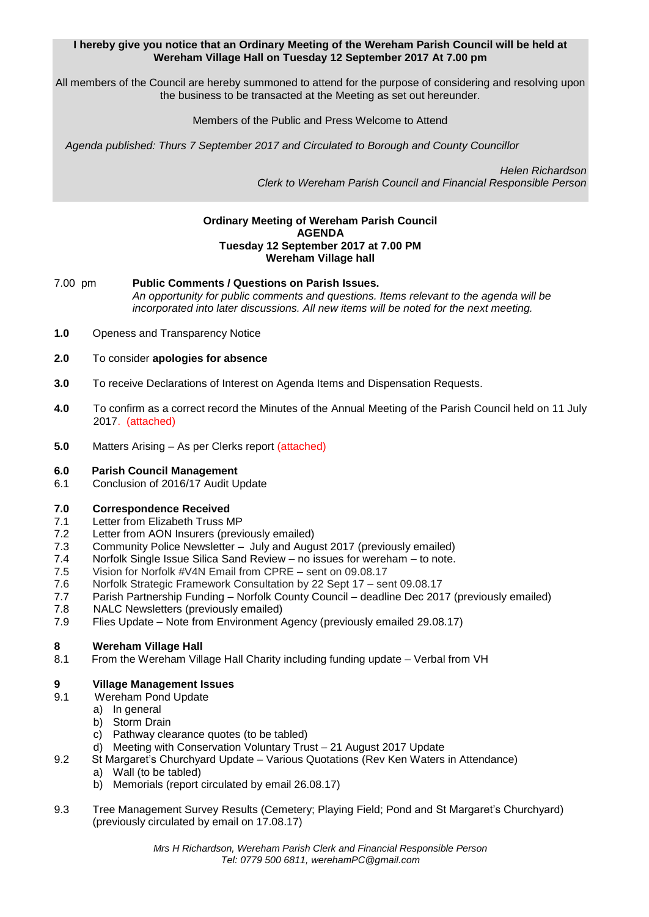## **I hereby give you notice that an Ordinary Meeting of the Wereham Parish Council will be held at Wereham Village Hall on Tuesday 12 September 2017 At 7.00 pm**

All members of the Council are hereby summoned to attend for the purpose of considering and resolving upon the business to be transacted at the Meeting as set out hereunder.

# Members of the Public and Press Welcome to Attend

*Agenda published: Thurs 7 September 2017 and Circulated to Borough and County Councillor* 

 *Helen Richardson Clerk to Wereham Parish Council and Financial Responsible Person*

## **Ordinary Meeting of Wereham Parish Council AGENDA Tuesday 12 September 2017 at 7.00 PM Wereham Village hall**

7.00 pm **Public Comments / Questions on Parish Issues.** *An opportunity for public comments and questions. Items relevant to the agenda will be incorporated into later discussions. All new items will be noted for the next meeting.*

- **1.0** Openess and Transparency Notice
- **2.0** To consider **apologies for absence**
- **3.0** To receive Declarations of Interest on Agenda Items and Dispensation Requests.
- **4.0** To confirm as a correct record the Minutes of the Annual Meeting of the Parish Council held on 11 July 2017. (attached)
- **5.0** Matters Arising As per Clerks report (attached)

#### **6.0 Parish Council Management**

6.1 Conclusion of 2016/17 Audit Update

### **7.0 Correspondence Received**

- 7.1 Letter from Elizabeth Truss MP
- 7.2 Letter from AON Insurers (previously emailed)
- 7.3 Community Police Newsletter July and August 2017 (previously emailed)
- 7.4 Norfolk Single Issue Silica Sand Review no issues for wereham to note.
- 7.5 Vision for Norfolk #V4N Email from CPRE sent on 09.08.17
- 7.6 Norfolk Strategic Framework Consultation by 22 Sept 17 sent 09.08.17
- 7.7 Parish Partnership Funding Norfolk County Council deadline Dec 2017 (previously emailed)
- 7.8 NALC Newsletters (previously emailed)
- 7.9 Flies Update Note from Environment Agency (previously emailed 29.08.17)

# **8 Wereham Village Hall**

8.1 From the Wereham Village Hall Charity including funding update – Verbal from VH

### **9 Village Management Issues**

- 9.1 Wereham Pond Update
	- a) In general
	- b) Storm Drain
	- c) Pathway clearance quotes (to be tabled)
	- d) Meeting with Conservation Voluntary Trust 21 August 2017 Update
- 9.2 St Margaret's Churchyard Update Various Quotations (Rev Ken Waters in Attendance)
	- a) Wall (to be tabled)
	- b) Memorials (report circulated by email 26.08.17)
- 9.3 Tree Management Survey Results (Cemetery; Playing Field; Pond and St Margaret's Churchyard) (previously circulated by email on 17.08.17)